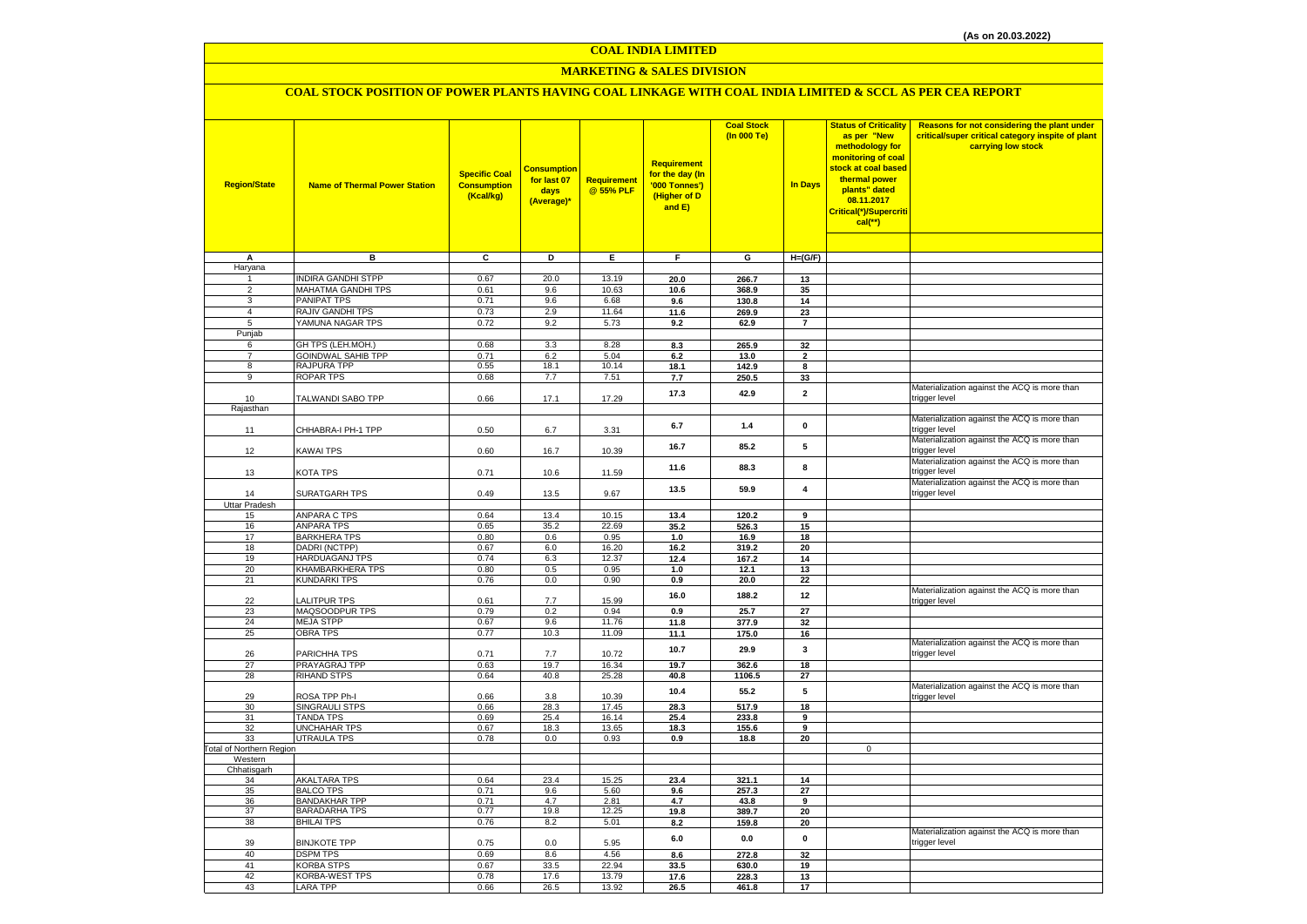#### **COAL INDIA LIMITED**

## **MARKETING & SALES DIVISION**

## **COAL STOCK POSITION OF POWER PLANTS HAVING COAL LINKAGE WITH COAL INDIA LIMITED & SCCL AS PER CEA REPORT**

| <b>Region/State</b>            | <b>Name of Thermal Power Station</b>         | <b>Specific Coal</b><br><b>Consumption</b><br>(Kcal/kg) | <b>Consumptior</b><br>for last 07<br>days<br>(Average)* | Requirement<br>@ 55% PLF | <b>Requirement</b><br>for the day (In<br>'000 Tonnes')<br>(Higher of D<br>and E) | <b>Coal Stock</b><br>(In 000 Te) | <b>In Days</b>          | <b>Status of Criticality</b><br>as per "New<br>methodology for<br>monitoring of coal<br>stock at coal based<br>thermal power<br>plants" dated<br>08.11.2017<br>Critical(*)/Supercriti<br>$cal$ (**) | Reasons for not considering the plant under<br>critical/super critical category inspite of plant<br>carrying low stock |
|--------------------------------|----------------------------------------------|---------------------------------------------------------|---------------------------------------------------------|--------------------------|----------------------------------------------------------------------------------|----------------------------------|-------------------------|-----------------------------------------------------------------------------------------------------------------------------------------------------------------------------------------------------|------------------------------------------------------------------------------------------------------------------------|
|                                |                                              |                                                         |                                                         |                          |                                                                                  |                                  |                         |                                                                                                                                                                                                     |                                                                                                                        |
| A                              | в                                            | $\overline{\mathbf{c}}$                                 | ъ                                                       | Έ                        | F                                                                                | G                                | $H=(G/F)$               |                                                                                                                                                                                                     |                                                                                                                        |
| Haryana<br>$\mathbf{1}$        | <b>INDIRA GANDHI STPP</b>                    | 0.67                                                    | 20.0                                                    | 13.19                    |                                                                                  |                                  |                         |                                                                                                                                                                                                     |                                                                                                                        |
| $\overline{2}$                 | <b>MAHATMA GANDHI TPS</b>                    | 0.61                                                    | 9.6                                                     | 10.63                    | 20.0<br>10.6                                                                     | 266.7<br>368.9                   | 13<br>35                |                                                                                                                                                                                                     |                                                                                                                        |
| 3                              | PANIPAT TPS                                  | 0.71                                                    | 9.6                                                     | 6.68                     | 9.6                                                                              | 130.8                            | 14                      |                                                                                                                                                                                                     |                                                                                                                        |
| $\overline{4}$                 | <b>RAJIV GANDHI TPS</b>                      | 0.73                                                    | 2.9                                                     | 11.64                    | 11.6                                                                             | 269.9                            | 23                      |                                                                                                                                                                                                     |                                                                                                                        |
| 5                              | YAMUNA NAGAR TPS                             | 0.72                                                    | 9.2                                                     | 5.73                     | 9.2                                                                              | 62.9                             | $\overline{7}$          |                                                                                                                                                                                                     |                                                                                                                        |
| Punjab                         |                                              |                                                         |                                                         |                          |                                                                                  |                                  |                         |                                                                                                                                                                                                     |                                                                                                                        |
| 6                              | GH TPS (LEH.MOH.)                            | 0.68                                                    | 3.3                                                     | 8.28                     | 8.3                                                                              | 265.9                            | 32                      |                                                                                                                                                                                                     |                                                                                                                        |
| $\overline{7}$                 | <b>GOINDWAL SAHIB TPP</b>                    | 0.71                                                    | 6.2                                                     | 5.04                     | 6.2                                                                              | 13.0                             | $\overline{\mathbf{2}}$ |                                                                                                                                                                                                     |                                                                                                                        |
| 8<br>9                         | RAJPURA TPP                                  | 0.55                                                    | 18.1<br>7.7                                             | 10.14<br>7.51            | 18.1                                                                             | 142.9                            | 8                       |                                                                                                                                                                                                     |                                                                                                                        |
|                                | ROPAR TPS                                    | 0.68                                                    |                                                         |                          | 7.7                                                                              | 250.5                            | 33                      |                                                                                                                                                                                                     | Materialization against the ACQ is more than                                                                           |
| 10                             | TALWANDI SABO TPP                            | 0.66                                                    | 17.1                                                    | 17.29                    | 17.3                                                                             | 42.9                             | $\mathbf{2}$            |                                                                                                                                                                                                     | trigger level                                                                                                          |
| Rajasthan                      |                                              |                                                         |                                                         |                          |                                                                                  |                                  |                         |                                                                                                                                                                                                     |                                                                                                                        |
| 11                             | CHHABRA-I PH-1 TPP                           | 0.50                                                    | 6.7                                                     | 3.31                     | 6.7                                                                              | $1.4\,$                          | $\mathbf 0$             |                                                                                                                                                                                                     | Materialization against the ACQ is more than<br>trigger level                                                          |
| 12                             | <b>KAWAI TPS</b>                             | 0.60                                                    | 16.7                                                    | 10.39                    | 16.7                                                                             | 85.2                             | 5                       |                                                                                                                                                                                                     | Materialization against the ACQ is more than<br>trigger level                                                          |
| 13                             | KOTA TPS                                     | 0.71                                                    | 10.6                                                    | 11.59                    | 11.6                                                                             | 88.3                             | 8                       |                                                                                                                                                                                                     | Materialization against the ACQ is more than<br>trigger level                                                          |
| 14                             | SURATGARH TPS                                | 0.49                                                    | 13.5                                                    | 9.67                     | 13.5                                                                             | 59.9                             | $\overline{4}$          |                                                                                                                                                                                                     | Materialization against the ACQ is more than<br>trigger level                                                          |
| <b>Uttar Pradesh</b>           |                                              |                                                         |                                                         |                          |                                                                                  |                                  |                         |                                                                                                                                                                                                     |                                                                                                                        |
| 15                             | <b>ANPARA C TPS</b>                          | 0.64                                                    | 13.4                                                    | 10.15                    | 13.4                                                                             | 120.2                            | 9                       |                                                                                                                                                                                                     |                                                                                                                        |
| 16                             | <b>ANPARA TPS</b>                            | 0.65                                                    | 35.2                                                    | 22.69                    | 35.2                                                                             | 526.3                            | 15                      |                                                                                                                                                                                                     |                                                                                                                        |
| 17<br>18                       | <b>BARKHERA TPS</b><br>DADRI (NCTPP)         | 0.80<br>0.67                                            | 0.6<br>6.0                                              | 0.95<br>16.20            | 1.0                                                                              | 16.9<br>319.2                    | 18<br>20                |                                                                                                                                                                                                     |                                                                                                                        |
| 19                             | HARDUAGANJ TPS                               | 0.74                                                    | 6.3                                                     | 12.37                    | 16.2<br>12.4                                                                     | 167.2                            | 14                      |                                                                                                                                                                                                     |                                                                                                                        |
| 20                             | KHAMBARKHERA TPS                             | 0.80                                                    | 0.5                                                     | 0.95                     | 1.0                                                                              | 12.1                             | 13                      |                                                                                                                                                                                                     |                                                                                                                        |
| 21                             | <b>KUNDARKI TPS</b>                          | 0.76                                                    | 0.0                                                     | 0.90                     | 0.9                                                                              | 20.0                             | 22                      |                                                                                                                                                                                                     |                                                                                                                        |
| 22                             | LALITPUR TPS                                 | 0.61                                                    | 7.7                                                     | 15.99                    | 16.0                                                                             | 188.2                            | 12                      |                                                                                                                                                                                                     | Materialization against the ACQ is more than<br>trigger level                                                          |
| 23                             | MAQSOODPUR TPS                               | 0.79                                                    | 0.2                                                     | 0.94                     | 0.9                                                                              | 25.7                             | 27                      |                                                                                                                                                                                                     |                                                                                                                        |
| 24                             | <b>MEJA STPP</b>                             | 0.67                                                    | 9.6                                                     | 11.76                    | 11.8                                                                             | 377.9                            | 32                      |                                                                                                                                                                                                     |                                                                                                                        |
| 25                             | <b>OBRA TPS</b>                              | 0.77                                                    | 10.3                                                    | 11.09                    | 11.1                                                                             | 175.0                            | 16                      |                                                                                                                                                                                                     |                                                                                                                        |
| 26                             | PARICHHA TPS                                 | 0.71                                                    | 7.7                                                     | 10.72                    | 10.7                                                                             | 29.9                             | 3                       |                                                                                                                                                                                                     | Materialization against the ACQ is more than<br>trigger level                                                          |
| 27                             | PRAYAGRAJ TPP                                | 0.63                                                    | 19.7                                                    | 16.34                    | 19.7                                                                             | 362.6                            | 18                      |                                                                                                                                                                                                     |                                                                                                                        |
| 28                             | <b>RIHAND STPS</b>                           | 0.64                                                    | 40.8                                                    | 25.28                    | 40.8                                                                             | 1106.5                           | 27                      |                                                                                                                                                                                                     | Materialization against the ACQ is more than                                                                           |
| 29                             | ROSA TPP Ph-I                                | 0.66                                                    | 3.8                                                     | 10.39                    | 10.4                                                                             | 55.2                             | ${\bf 5}$               |                                                                                                                                                                                                     | trigger level                                                                                                          |
| 30                             | <b>SINGRAULI STPS</b>                        | 0.66                                                    | 28.3                                                    | 17.45                    | 28.3                                                                             | 517.9                            | 18                      |                                                                                                                                                                                                     |                                                                                                                        |
| 31                             | <b>TANDA TPS</b>                             | 0.69                                                    | 25.4                                                    | 16.14                    | 25.4                                                                             | 233.8                            | 9                       |                                                                                                                                                                                                     |                                                                                                                        |
| 32                             | <b>UNCHAHAR TPS</b>                          | 0.67                                                    | 18.3                                                    | 13.65                    | 18.3                                                                             | 155.6                            | 9                       |                                                                                                                                                                                                     |                                                                                                                        |
| 33<br>Total of Northern Region | <b>UTRAULA TPS</b>                           | 0.78                                                    | $0.0\,$                                                 | 0.93                     | 0.9                                                                              | 18.8                             | 20                      | $\mathbf 0$                                                                                                                                                                                         |                                                                                                                        |
| Western                        |                                              |                                                         |                                                         |                          |                                                                                  |                                  |                         |                                                                                                                                                                                                     |                                                                                                                        |
| Chhatisgarh                    |                                              |                                                         |                                                         |                          |                                                                                  |                                  |                         |                                                                                                                                                                                                     |                                                                                                                        |
| 34                             | <b>AKALTARA TPS</b>                          | 0.64                                                    | 23.4                                                    | 15.25                    | 23.4                                                                             | 321.1                            | 14                      |                                                                                                                                                                                                     |                                                                                                                        |
| 35                             | <b>BALCO TPS</b>                             | 0.71                                                    | 9.6                                                     | 5.60                     | 9.6                                                                              | 257.3                            | 27                      |                                                                                                                                                                                                     |                                                                                                                        |
| 36<br>37                       | <b>BANDAKHAR TPP</b><br><b>BARADARHA TPS</b> | 0.71<br>0.77                                            | 4.7<br>19.8                                             | 2.81<br>12.25            | 4.7                                                                              | 43.8<br>389.7                    | $\overline{9}$<br>20    |                                                                                                                                                                                                     |                                                                                                                        |
| 38                             | <b>BHILAI TPS</b>                            | 0.76                                                    | 8.2                                                     | 5.01                     | 19.8<br>8.2                                                                      | 159.8                            | 20                      |                                                                                                                                                                                                     |                                                                                                                        |
|                                |                                              |                                                         |                                                         |                          |                                                                                  |                                  |                         |                                                                                                                                                                                                     | Materialization against the ACQ is more than                                                                           |
| 39                             | <b>BINJKOTE TPP</b>                          | 0.75                                                    | 0.0                                                     | 5.95                     | 6.0                                                                              | 0.0                              | $\mathbf 0$             |                                                                                                                                                                                                     | trigger level                                                                                                          |
| 40                             | <b>DSPM TPS</b>                              | 0.69                                                    | 8.6                                                     | 4.56                     | 8.6                                                                              | 272.8                            | 32                      |                                                                                                                                                                                                     |                                                                                                                        |
| 41<br>42                       | KORBA STPS                                   | 0.67<br>0.78                                            | 33.5                                                    | 22.94                    | 33.5                                                                             | 630.0                            | 19                      |                                                                                                                                                                                                     |                                                                                                                        |
| 43                             | <b>KORBA-WEST TPS</b><br><b>LARA TPP</b>     | 0.66                                                    | 17.6<br>26.5                                            | 13.79<br>13.92           | 17.6<br>26.5                                                                     | 228.3<br>461.8                   | 13<br>17                |                                                                                                                                                                                                     |                                                                                                                        |
|                                |                                              |                                                         |                                                         |                          |                                                                                  |                                  |                         |                                                                                                                                                                                                     |                                                                                                                        |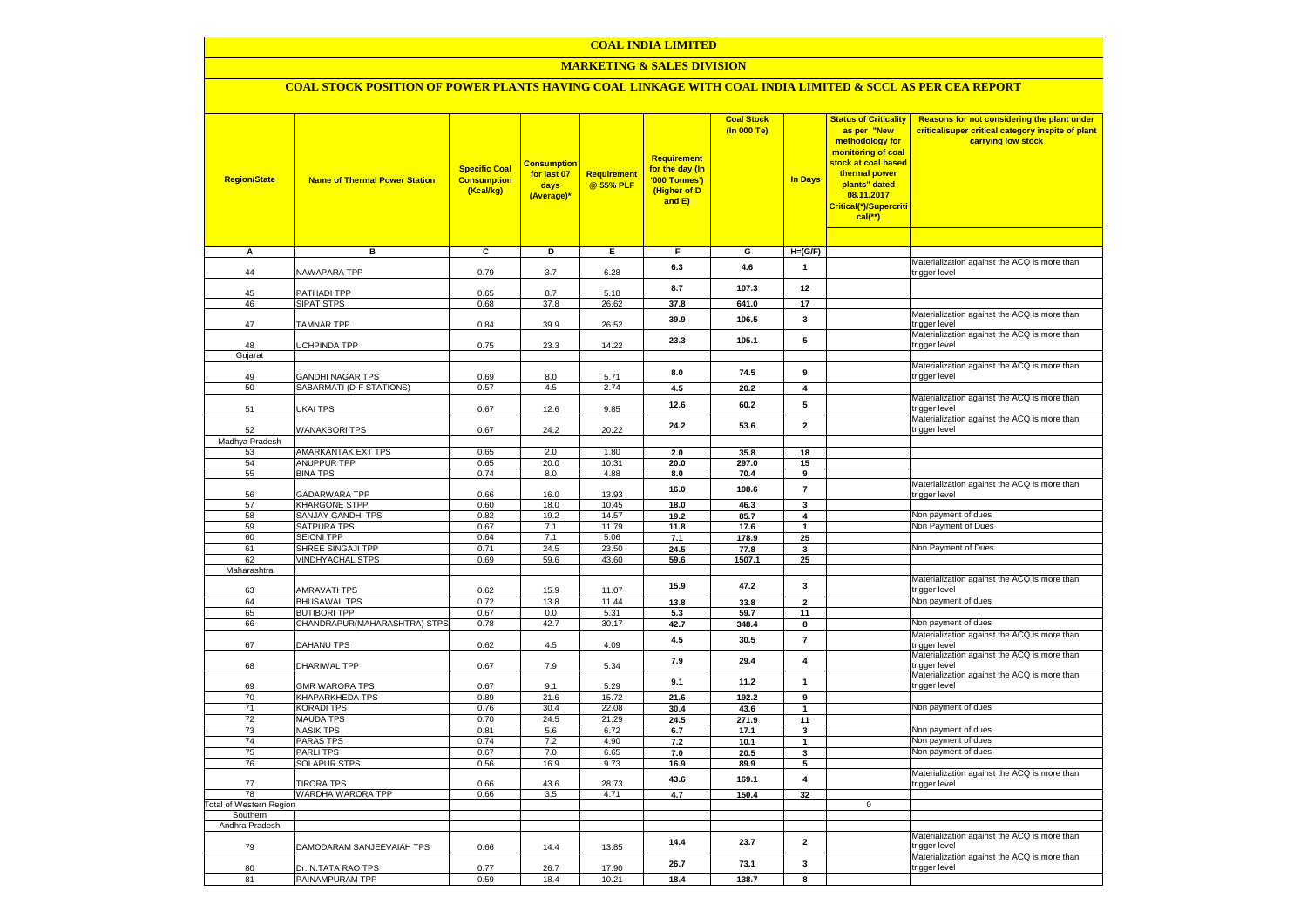## **COAL INDIA LIMITED**

## **MARKETING & SALES DIVISION**

# **COAL STOCK POSITION OF POWER PLANTS HAVING COAL LINKAGE WITH COAL INDIA LIMITED & SCCL AS PER CEA REPORT**

| <b>Region/State</b>                  | <b>Name of Thermal Power Station</b>         | <b>Specific Coal</b><br><b>Consumption</b><br>(Kcal/kg) | <u>Consumption</u><br>for last 07<br>days<br>(Average)* | Requirement<br>@ 55% PLF | Requirement<br>for the day (In<br>'000 Tonnes')<br>(Higher of D<br>and E) | <b>Coal Stock</b><br>(In 000 Te) | <b>In Days</b>          | <b>Status of Criticality</b><br>as per "New<br>methodology for<br>monitoring of coal<br>stock at coal based<br>thermal power<br>plants" dated<br>08.11.2017<br>Critical(*)/Supercriti<br>$cal$ (**) | Reasons for not considering the plant under<br>critical/super critical category inspite of plant<br>carrying low stock |
|--------------------------------------|----------------------------------------------|---------------------------------------------------------|---------------------------------------------------------|--------------------------|---------------------------------------------------------------------------|----------------------------------|-------------------------|-----------------------------------------------------------------------------------------------------------------------------------------------------------------------------------------------------|------------------------------------------------------------------------------------------------------------------------|
| Α                                    | в                                            | c                                                       | Þ                                                       | Ε                        | $\overline{F}$                                                            | G                                | $H=(G/F)$               |                                                                                                                                                                                                     |                                                                                                                        |
| 44                                   | NAWAPARA TPP                                 | 0.79                                                    | 3.7                                                     | 6.28                     | 6.3                                                                       | 4.6                              | $\mathbf{1}$            |                                                                                                                                                                                                     | Materialization against the ACQ is more than<br>trigger level                                                          |
| 45                                   | PATHADI TPP                                  | 0.65                                                    | 8.7                                                     | 5.18                     | 8.7                                                                       | 107.3                            | 12                      |                                                                                                                                                                                                     |                                                                                                                        |
| 46                                   | SIPAT STPS                                   | 0.68                                                    | 37.8                                                    | 26.62                    | 37.8                                                                      | 641.0                            | 17                      |                                                                                                                                                                                                     |                                                                                                                        |
| 47                                   | <b>TAMNAR TPP</b>                            | 0.84                                                    | 39.9                                                    | 26.52                    | 39.9                                                                      | 106.5                            | 3                       |                                                                                                                                                                                                     | Materialization against the ACQ is more than<br>trigger level                                                          |
| 48<br>Gujarat                        | UCHPINDA TPP                                 | 0.75                                                    | 23.3                                                    | 14.22                    | 23.3                                                                      | 105.1                            | 5                       |                                                                                                                                                                                                     | Materialization against the ACQ is more than<br>trigger level                                                          |
|                                      |                                              |                                                         |                                                         |                          |                                                                           |                                  |                         |                                                                                                                                                                                                     | Materialization against the ACQ is more than                                                                           |
| 49<br>50                             | GANDHI NAGAR TPS<br>SABARMATI (D-F STATIONS) | 0.69<br>0.57                                            | 8.0<br>4.5                                              | 5.71<br>2.74             | 8.0<br>4.5                                                                | 74.5<br>20.2                     | 9<br>$\overline{4}$     |                                                                                                                                                                                                     | trigger level                                                                                                          |
|                                      |                                              |                                                         |                                                         |                          |                                                                           |                                  |                         |                                                                                                                                                                                                     | Materialization against the ACQ is more than                                                                           |
| 51                                   | UKAI TPS                                     | 0.67                                                    | 12.6                                                    | 9.85                     | 12.6                                                                      | 60.2                             | 5                       |                                                                                                                                                                                                     | trigger level<br>Materialization against the ACQ is more than                                                          |
| 52                                   | <b>WANAKBORI TPS</b>                         | 0.67                                                    | 24.2                                                    | 20.22                    | 24.2                                                                      | 53.6                             | $\mathbf{2}$            |                                                                                                                                                                                                     | trigger level                                                                                                          |
| Madhya Pradesh<br>53                 | AMARKANTAK EXT TPS                           | 0.65                                                    | 2.0                                                     | 1.80                     | 2.0                                                                       | 35.8                             | 18                      |                                                                                                                                                                                                     |                                                                                                                        |
| 54                                   | <b>ANUPPUR TPP</b>                           | 0.65                                                    | 20.0                                                    | 10.31                    | 20.0                                                                      | 297.0                            | 15                      |                                                                                                                                                                                                     |                                                                                                                        |
| 55                                   | <b>BINA TPS</b>                              | 0.74                                                    | 8.0                                                     | 4.88                     | 8.0                                                                       | 70.4                             | 9                       |                                                                                                                                                                                                     |                                                                                                                        |
| 56                                   | <b>GADARWARA TPP</b>                         | 0.66                                                    | 16.0                                                    | 13.93                    | 16.0                                                                      | 108.6                            | $\overline{7}$          |                                                                                                                                                                                                     | Materialization against the ACQ is more than<br>trigger level                                                          |
| 57                                   | <b>KHARGONE STPP</b>                         | 0.60                                                    | 18.0                                                    | 10.45                    | 18.0                                                                      | 46.3                             | $\mathbf{3}$            |                                                                                                                                                                                                     |                                                                                                                        |
| 58                                   | <b>SANJAY GANDHI TPS</b><br>SATPURA TPS      | 0.82                                                    | 19.2                                                    | 14.57<br>11.79           | 19.2                                                                      | 85.7                             | $\overline{\mathbf{4}}$ |                                                                                                                                                                                                     | Non payment of dues<br>Non Payment of Dues                                                                             |
| 59<br>60                             | SEIONI TPP                                   | 0.67<br>0.64                                            | 7.1<br>7.1                                              | 5.06                     | 11.8<br>7.1                                                               | 17.6<br>178.9                    | $\mathbf{1}$<br>25      |                                                                                                                                                                                                     |                                                                                                                        |
| 61                                   | SHREE SINGAJI TPP                            | 0.71                                                    | 24.5                                                    | 23.50                    | 24.5                                                                      | 77.8                             | 3                       |                                                                                                                                                                                                     | Non Payment of Dues                                                                                                    |
| 62                                   | <b>VINDHYACHAL STPS</b>                      | 0.69                                                    | 59.6                                                    | 43.60                    | 59.6                                                                      | 1507.1                           | 25                      |                                                                                                                                                                                                     |                                                                                                                        |
| Maharashtra                          |                                              |                                                         |                                                         |                          |                                                                           |                                  |                         |                                                                                                                                                                                                     |                                                                                                                        |
| 63                                   | <b>AMRAVATI TPS</b>                          | 0.62                                                    | 15.9                                                    | 11.07                    | 15.9                                                                      | 47.2                             | 3                       |                                                                                                                                                                                                     | Materialization against the ACQ is more than<br>trigger level                                                          |
| 64                                   | <b>BHUSAWAL TPS</b>                          | 0.72                                                    | 13.8                                                    | 11.44                    | 13.8                                                                      | 33.8                             | $\overline{\mathbf{2}}$ |                                                                                                                                                                                                     | Non payment of dues                                                                                                    |
| 65                                   | <b>BUTIBORI TPP</b>                          | 0.67                                                    | 0.0                                                     | 5.31                     | 5.3                                                                       | 59.7                             | 11                      |                                                                                                                                                                                                     |                                                                                                                        |
| 66                                   | CHANDRAPUR(MAHARASHTRA) STPS                 | 0.78                                                    | 42.7                                                    | 30.17                    | 42.7                                                                      | 348.4                            | 8                       |                                                                                                                                                                                                     | Non payment of dues<br>Materialization against the ACQ is more than                                                    |
| 67                                   | DAHANU TPS                                   | 0.62                                                    | $4.5\,$                                                 | 4.09                     | 4.5                                                                       | 30.5                             | $\overline{\mathbf{r}}$ |                                                                                                                                                                                                     | trigger level<br>Materialization against the ACQ is more than                                                          |
| 68                                   | DHARIWAL TPP                                 | 0.67                                                    | 7.9                                                     | 5.34                     | 7.9                                                                       | 29.4                             | $\overline{\mathbf{4}}$ |                                                                                                                                                                                                     | rigger level<br>Materialization against the ACQ is more than                                                           |
| 69                                   | <b>GMR WARORA TPS</b>                        | 0.67                                                    | 9.1                                                     | 5.29                     | 9.1                                                                       | 11.2                             | 1                       |                                                                                                                                                                                                     | rigger level                                                                                                           |
| 70<br>71                             | KHAPARKHEDA TPS<br><b>KORADI TPS</b>         | 0.89<br>0.76                                            | 21.6<br>30.4                                            | 15.72<br>22.08           | 21.6<br>30.4                                                              | 192.2<br>43.6                    | 9<br>$\mathbf{1}$       |                                                                                                                                                                                                     | Non payment of dues                                                                                                    |
| $\overline{72}$                      | <b>MAUDA TPS</b>                             | 0.70                                                    | 24.5                                                    | 21.29                    | 24.5                                                                      | 271.9                            | 11                      |                                                                                                                                                                                                     |                                                                                                                        |
| 73                                   | <b>NASIK TPS</b>                             | 0.81                                                    | 5.6                                                     | 6.72                     | 6.7                                                                       | 17.1                             | 3                       |                                                                                                                                                                                                     | Non payment of dues                                                                                                    |
| 74                                   | <b>PARAS TPS</b>                             | 0.74                                                    | 7.2                                                     | 4.90                     | 7.2                                                                       | 10.1                             | $\mathbf{1}$            |                                                                                                                                                                                                     | Non payment of dues                                                                                                    |
| 75                                   | PARLI TPS                                    | 0.67                                                    | 7.0                                                     | 6.65                     | 7.0                                                                       | 20.5                             | 3                       |                                                                                                                                                                                                     | Non payment of dues                                                                                                    |
| 76                                   | <b>SOLAPUR STPS</b>                          | 0.56                                                    | 16.9                                                    | 9.73                     | 16.9                                                                      | 89.9                             | 5                       |                                                                                                                                                                                                     |                                                                                                                        |
| 77                                   | <b>TIRORA TPS</b>                            | 0.66                                                    | 43.6                                                    | 28.73                    | 43.6                                                                      | 169.1                            | $\overline{\mathbf{4}}$ |                                                                                                                                                                                                     | Materialization against the ACQ is more than<br>trigger level                                                          |
| 78<br><b>Total of Western Region</b> | WARDHA WARORA TPP                            | 0.66                                                    | 3.5                                                     | 4.71                     | 4.7                                                                       | 150.4                            | 32                      | $\mathbf 0$                                                                                                                                                                                         |                                                                                                                        |
| Southern                             |                                              |                                                         |                                                         |                          |                                                                           |                                  |                         |                                                                                                                                                                                                     |                                                                                                                        |
| Andhra Pradesh                       |                                              |                                                         |                                                         |                          |                                                                           |                                  |                         |                                                                                                                                                                                                     |                                                                                                                        |
| 79                                   | DAMODARAM SANJEEVAIAH TPS                    | 0.66                                                    | 14.4                                                    | 13.85                    | 14.4                                                                      | 23.7                             | $\mathbf{2}$            |                                                                                                                                                                                                     | Materialization against the ACQ is more than<br>rigger level                                                           |
| 80                                   | Dr. N.TATA RAO TPS                           | 0.77                                                    | 26.7                                                    | 17.90                    | 26.7                                                                      | 73.1                             | 3                       |                                                                                                                                                                                                     | Materialization against the ACQ is more than<br>trigger level                                                          |
| 81                                   | PAINAMPURAM TPP                              | 0.59                                                    | 18.4                                                    | 10.21                    | 18.4                                                                      | 138.7                            | 8                       |                                                                                                                                                                                                     |                                                                                                                        |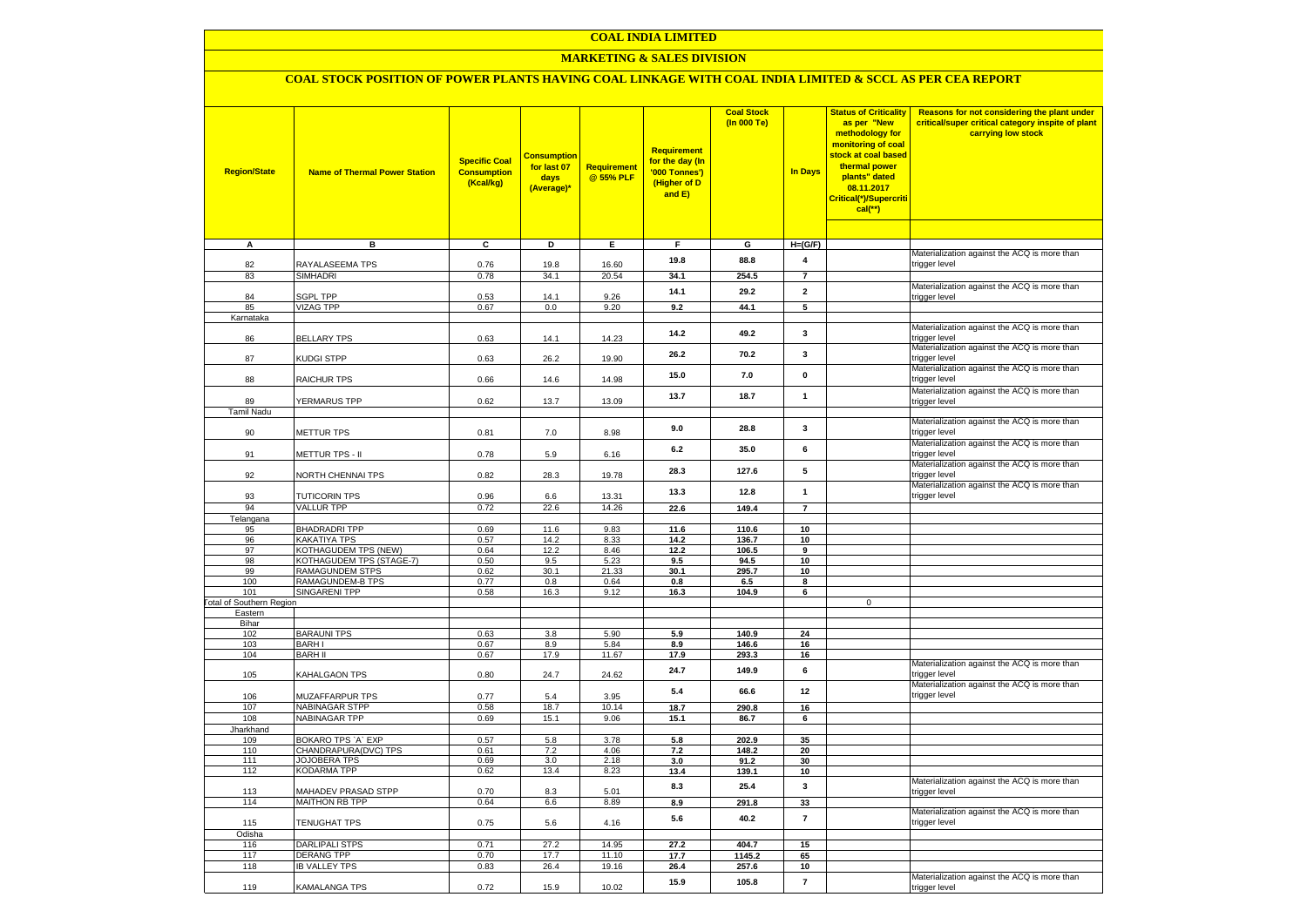## **COAL INDIA LIMITED**

## **MARKETING & SALES DIVISION**

## **COAL STOCK POSITION OF POWER PLANTS HAVING COAL LINKAGE WITH COAL INDIA LIMITED & SCCL AS PER CEA REPORT**

| <b>Region/State</b>                    | <b>Name of Thermal Power Station</b>        | <b>Specific Coal</b><br><b>Consumption</b><br>(Kcal/kg) | <b>Consumption</b><br>for last 07<br>days<br>(Average)* | Requirement<br>@ 55% PLF | <b>Requirement</b><br>for the day (In<br>'000 Tonnes')<br>(Higher of D<br>and E) | <b>Coal Stock</b><br>(In 000 Te) | <b>In Days</b>  | <b>Status of Criticality</b><br>as per "New<br>methodology for<br>monitoring of coal<br>stock at coal based<br>thermal power<br>plants" dated<br>08.11.2017<br>Critical(*)/Supercriti<br>cal(**) | Reasons for not considering the plant under<br>critical/super critical category inspite of plant<br>carrying low stock |
|----------------------------------------|---------------------------------------------|---------------------------------------------------------|---------------------------------------------------------|--------------------------|----------------------------------------------------------------------------------|----------------------------------|-----------------|--------------------------------------------------------------------------------------------------------------------------------------------------------------------------------------------------|------------------------------------------------------------------------------------------------------------------------|
| $\overline{A}$                         | в                                           | c                                                       | Þ                                                       | E                        | F                                                                                | G                                | $H=(G/F)$       |                                                                                                                                                                                                  |                                                                                                                        |
|                                        |                                             |                                                         |                                                         |                          |                                                                                  |                                  |                 |                                                                                                                                                                                                  | Materialization against the ACQ is more than                                                                           |
| 82                                     | RAYALASEEMA TPS                             | 0.76                                                    | 19.8                                                    | 16.60                    | 19.8                                                                             | 88.8                             | 4               |                                                                                                                                                                                                  | trigger level                                                                                                          |
| 83                                     | <b>SIMHADRI</b>                             | 0.78                                                    | 34.1                                                    | 20.54                    | 34.1                                                                             | 254.5                            | $\overline{7}$  |                                                                                                                                                                                                  |                                                                                                                        |
|                                        |                                             |                                                         |                                                         |                          | 14.1                                                                             | 29.2                             | $\mathbf{2}$    |                                                                                                                                                                                                  | Materialization against the ACQ is more than                                                                           |
| 84                                     | <b>SGPL TPP</b>                             | 0.53                                                    | 14.1                                                    | 9.26                     |                                                                                  |                                  |                 |                                                                                                                                                                                                  | trigger level                                                                                                          |
| 85<br>Karnataka                        | <b>VIZAG TPP</b>                            | 0.67                                                    | 0.0                                                     | 9.20                     | 9.2                                                                              | 44.1                             | 5               |                                                                                                                                                                                                  |                                                                                                                        |
|                                        |                                             |                                                         |                                                         |                          |                                                                                  |                                  |                 |                                                                                                                                                                                                  | Materialization against the ACQ is more than                                                                           |
| 86                                     | <b>BELLARY TPS</b>                          | 0.63                                                    | 14.1                                                    | 14.23                    | 14.2                                                                             | 49.2                             | $\mathbf{3}$    |                                                                                                                                                                                                  | trigger level                                                                                                          |
|                                        |                                             |                                                         |                                                         |                          | 26.2                                                                             | 70.2                             | 3               |                                                                                                                                                                                                  | Materialization against the ACQ is more than                                                                           |
| 87                                     | <b>KUDGI STPP</b>                           | 0.63                                                    | 26.2                                                    | 19.90                    |                                                                                  |                                  |                 |                                                                                                                                                                                                  | trigger level                                                                                                          |
| 88                                     | RAICHUR TPS                                 | 0.66                                                    | 14.6                                                    | 14.98                    | 15.0                                                                             | 7.0                              | $\mathbf 0$     |                                                                                                                                                                                                  | Materialization against the ACQ is more than<br>trigger level                                                          |
|                                        |                                             |                                                         |                                                         |                          |                                                                                  |                                  |                 |                                                                                                                                                                                                  | Materialization against the ACQ is more than                                                                           |
| 89                                     | YERMARUS TPP                                | 0.62                                                    | 13.7                                                    | 13.09                    | 13.7                                                                             | 18.7                             | $\mathbf{1}$    |                                                                                                                                                                                                  | trigger level                                                                                                          |
| <b>Tamil Nadu</b>                      |                                             |                                                         |                                                         |                          |                                                                                  |                                  |                 |                                                                                                                                                                                                  |                                                                                                                        |
|                                        |                                             |                                                         |                                                         |                          | 9.0                                                                              | 28.8                             | 3               |                                                                                                                                                                                                  | Materialization against the ACQ is more than                                                                           |
| 90                                     | <b>METTUR TPS</b>                           | 0.81                                                    | 7.0                                                     | 8.98                     |                                                                                  |                                  |                 |                                                                                                                                                                                                  | trigger level                                                                                                          |
| 91                                     |                                             |                                                         |                                                         |                          | 6.2                                                                              | 35.0                             | 6               |                                                                                                                                                                                                  | Materialization against the ACQ is more than<br>trigger level                                                          |
|                                        | METTUR TPS - II                             | 0.78                                                    | 5.9                                                     | 6.16                     |                                                                                  |                                  |                 |                                                                                                                                                                                                  | Materialization against the ACQ is more than                                                                           |
| 92                                     | NORTH CHENNAI TPS                           | 0.82                                                    | 28.3                                                    | 19.78                    | 28.3                                                                             | 127.6                            | 5               |                                                                                                                                                                                                  | trigger level                                                                                                          |
|                                        |                                             |                                                         |                                                         |                          |                                                                                  |                                  |                 |                                                                                                                                                                                                  | Materialization against the ACQ is more than                                                                           |
| 93                                     | <b>TUTICORIN TPS</b>                        | 0.96                                                    | 6.6                                                     | 13.31                    | 13.3                                                                             | 12.8                             | $\mathbf{1}$    |                                                                                                                                                                                                  | trigger level                                                                                                          |
| 94                                     | <b>VALLUR TPP</b>                           | 0.72                                                    | 22.6                                                    | 14.26                    | 22.6                                                                             | 149.4                            | $\overline{7}$  |                                                                                                                                                                                                  |                                                                                                                        |
| Telangana                              |                                             |                                                         |                                                         |                          |                                                                                  |                                  |                 |                                                                                                                                                                                                  |                                                                                                                        |
| 95<br>96                               | <b>BHADRADRI TPP</b><br>KAKATIYA TPS        | 0.69<br>0.57                                            | 11.6<br>14.2                                            | 9.83<br>8.33             | 11.6<br>14.2                                                                     | 110.6                            | 10<br>10        |                                                                                                                                                                                                  |                                                                                                                        |
| 97                                     | KOTHAGUDEM TPS (NEW)                        | 0.64                                                    | 12.2                                                    | 8.46                     | 12.2                                                                             | 136.7<br>106.5                   | $\overline{9}$  |                                                                                                                                                                                                  |                                                                                                                        |
| 98                                     | KOTHAGUDEM TPS (STAGE-7)                    | 0.50                                                    | 9.5                                                     | 5.23                     | 9.5                                                                              | 94.5                             | $\overline{10}$ |                                                                                                                                                                                                  |                                                                                                                        |
| 99                                     | <b>RAMAGUNDEM STPS</b>                      | 0.62                                                    | 30.1                                                    | 21.33                    | 30.1                                                                             | 295.7                            | 10              |                                                                                                                                                                                                  |                                                                                                                        |
| 100                                    | RAMAGUNDEM-B TPS                            | 0.77                                                    | 0.8                                                     | 0.64                     | 0.8                                                                              | 6.5                              | 8               |                                                                                                                                                                                                  |                                                                                                                        |
| 101<br><b>Total of Southern Region</b> | SINGARENI TPP                               | 0.58                                                    | 16.3                                                    | 9.12                     | 16.3                                                                             | 104.9                            | 6               | $\mathbf 0$                                                                                                                                                                                      |                                                                                                                        |
| Eastern                                |                                             |                                                         |                                                         |                          |                                                                                  |                                  |                 |                                                                                                                                                                                                  |                                                                                                                        |
| Bihar                                  |                                             |                                                         |                                                         |                          |                                                                                  |                                  |                 |                                                                                                                                                                                                  |                                                                                                                        |
| 102                                    | <b>BARAUNI TPS</b>                          | 0.63                                                    | 3.8                                                     | 5.90                     | 5.9                                                                              | 140.9                            | 24              |                                                                                                                                                                                                  |                                                                                                                        |
| 103                                    | <b>BARHI</b>                                | 0.67                                                    | 8.9                                                     | 5.84                     | 8.9                                                                              | 146.6                            | 16              |                                                                                                                                                                                                  |                                                                                                                        |
| 104                                    | <b>BARH II</b>                              | 0.67                                                    | 17.9                                                    | 11.67                    | 17.9                                                                             | 293.3                            | 16              |                                                                                                                                                                                                  | Materialization against the ACQ is more than                                                                           |
| 105                                    | KAHALGAON TPS                               | 0.80                                                    | 24.7                                                    | 24.62                    | 24.7                                                                             | 149.9                            | 6               |                                                                                                                                                                                                  | trigger level                                                                                                          |
| 106                                    | MUZAFFARPUR TPS                             | 0.77                                                    | 5.4                                                     | 3.95                     | $5.4$                                                                            | 66.6                             | 12              |                                                                                                                                                                                                  | Materialization against the ACQ is more than<br>trigger level                                                          |
| 107                                    | NABINAGAR STPP                              | 0.58                                                    | 18.7                                                    | 10.14                    | 18.7                                                                             | 290.8                            | 16              |                                                                                                                                                                                                  |                                                                                                                        |
| 108                                    | NABINAGAR TPP                               | 0.69                                                    | 15.1                                                    | 9.06                     | 15.1                                                                             | 86.7                             | 6               |                                                                                                                                                                                                  |                                                                                                                        |
| Jharkhand                              |                                             |                                                         |                                                         |                          |                                                                                  |                                  |                 |                                                                                                                                                                                                  |                                                                                                                        |
| 109                                    | BOKARO TPS `A` EXP                          | 0.57                                                    | 5.8                                                     | 3.78                     | 5.8                                                                              | 202.9                            | 35              |                                                                                                                                                                                                  |                                                                                                                        |
| 110<br>111                             | CHANDRAPURA(DVC) TPS<br><b>JOJOBERA TPS</b> | 0.61<br>0.69                                            | 7.2<br>3.0                                              | 4.06<br>2.18             | 7.2<br>3.0                                                                       | 148.2<br>91.2                    | 20<br>30        |                                                                                                                                                                                                  |                                                                                                                        |
| 112                                    | <b>KODARMA TPP</b>                          | 0.62                                                    | 13.4                                                    | 8.23                     | 13.4                                                                             | 139.1                            | 10              |                                                                                                                                                                                                  |                                                                                                                        |
|                                        |                                             |                                                         |                                                         |                          |                                                                                  |                                  |                 |                                                                                                                                                                                                  | Materialization against the ACQ is more than                                                                           |
| 113                                    | MAHADEV PRASAD STPP                         | 0.70                                                    | 8.3                                                     | 5.01                     | 8.3                                                                              | 25.4                             | 3               |                                                                                                                                                                                                  | rigger level                                                                                                           |
| 114                                    | <b>MAITHON RB TPP</b>                       | 0.64                                                    | 6.6                                                     | 8.89                     | 8.9                                                                              | 291.8                            | 33              |                                                                                                                                                                                                  |                                                                                                                        |
| 115                                    | TENUGHAT TPS                                | 0.75                                                    | 5.6                                                     | 4.16                     | 5.6                                                                              | 40.2                             | $\overline{7}$  |                                                                                                                                                                                                  | Materialization against the ACQ is more than<br>trigger level                                                          |
| Odisha                                 |                                             | 0.71                                                    |                                                         |                          |                                                                                  |                                  |                 |                                                                                                                                                                                                  |                                                                                                                        |
| 116<br>117                             | DARLIPALI STPS<br><b>DERANG TPP</b>         | 0.70                                                    | 27.2<br>17.7                                            | 14.95<br>11.10           | 27.2<br>17.7                                                                     | 404.7<br>1145.2                  | 15<br>65        |                                                                                                                                                                                                  |                                                                                                                        |
| 118                                    | <b>IB VALLEY TPS</b>                        | 0.83                                                    | 26.4                                                    | 19.16                    | 26.4                                                                             | 257.6                            | 10              |                                                                                                                                                                                                  |                                                                                                                        |
|                                        |                                             |                                                         |                                                         |                          |                                                                                  |                                  |                 |                                                                                                                                                                                                  | Materialization against the ACQ is more than                                                                           |
| 119                                    | KAMALANGA TPS                               | 0.72                                                    | 15.9                                                    | 10.02                    | 15.9                                                                             | 105.8                            | $\overline{7}$  |                                                                                                                                                                                                  | trigger level                                                                                                          |